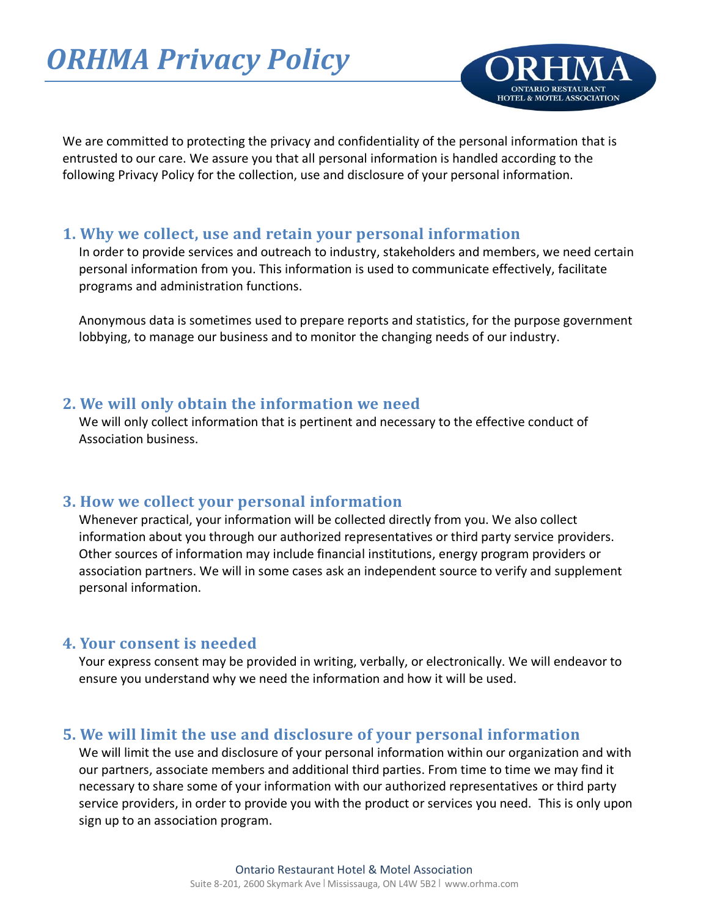# *ORHMA Privacy Policy*



We are committed to protecting the privacy and confidentiality of the personal information that is entrusted to our care. We assure you that all personal information is handled according to the following Privacy Policy for the collection, use and disclosure of your personal information.

### **1. Why we collect, use and retain your personal information**

In order to provide services and outreach to industry, stakeholders and members, we need certain personal information from you. This information is used to communicate effectively, facilitate programs and administration functions.

Anonymous data is sometimes used to prepare reports and statistics, for the purpose government lobbying, to manage our business and to monitor the changing needs of our industry.

# **2. We will only obtain the information we need**

We will only collect information that is pertinent and necessary to the effective conduct of Association business.

# **3. How we collect your personal information**

Whenever practical, your information will be collected directly from you. We also collect information about you through our authorized representatives or third party service providers. Other sources of information may include financial institutions, energy program providers or association partners. We will in some cases ask an independent source to verify and supplement personal information.

### **4. Your consent is needed**

Your express consent may be provided in writing, verbally, or electronically. We will endeavor to ensure you understand why we need the information and how it will be used.

# **5. We will limit the use and disclosure of your personal information**

We will limit the use and disclosure of your personal information within our organization and with our partners, associate members and additional third parties. From time to time we may find it necessary to share some of your information with our authorized representatives or third party service providers, in order to provide you with the product or services you need. This is only upon sign up to an association program.